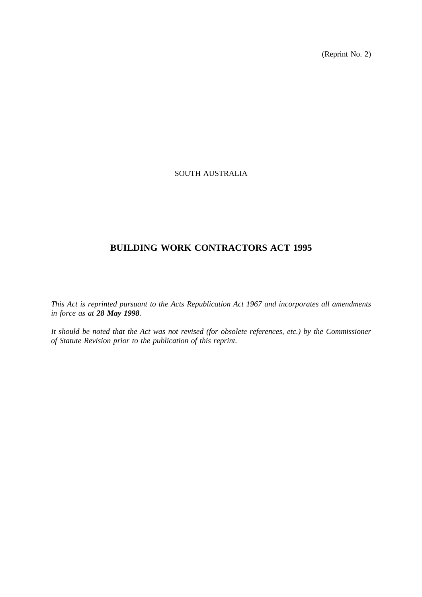(Reprint No. 2)

# SOUTH AUSTRALIA

# **BUILDING WORK CONTRACTORS ACT 1995**

*This Act is reprinted pursuant to the Acts Republication Act 1967 and incorporates all amendments in force as at 28 May 1998.*

*It should be noted that the Act was not revised (for obsolete references, etc.) by the Commissioner of Statute Revision prior to the publication of this reprint.*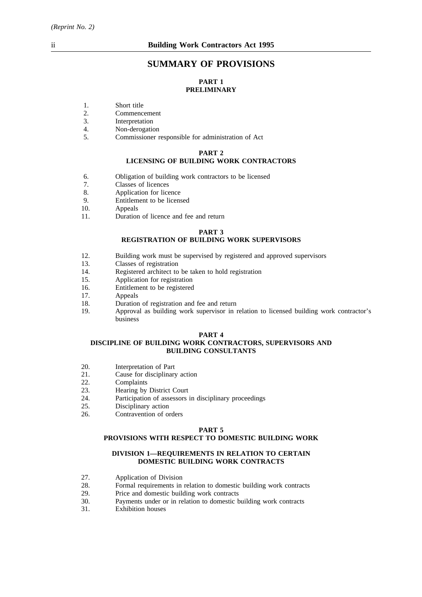# **SUMMARY OF PROVISIONS**

# **PART 1 PRELIMINARY**

- 1. Short title
- 2. Commencement
- 3. Interpretation
- 4. Non-derogation
- 5. Commissioner responsible for administration of Act

#### **PART 2**

## **LICENSING OF BUILDING WORK CONTRACTORS**

- 6. Obligation of building work contractors to be licensed
- 7. Classes of licences
- 8. Application for licence
- 9. Entitlement to be licensed<br>10. Appeals
- Appeals
- 11. Duration of licence and fee and return

#### **PART 3**

# **REGISTRATION OF BUILDING WORK SUPERVISORS**

- 12. Building work must be supervised by registered and approved supervisors 13.
- 13. Classes of registration<br>14 Registered architect to
- 14. Registered architect to be taken to hold registration<br>15. Application for registration
- Application for registration
- 16. Entitlement to be registered<br>17. Appeals
- Appeals
- 18. Duration of registration and fee and return
- 19. Approval as building work supervisor in relation to licensed building work contractor's business

#### **PART 4**

#### **DISCIPLINE OF BUILDING WORK CONTRACTORS, SUPERVISORS AND BUILDING CONSULTANTS**

- 20. Interpretation of Part
- 21. Cause for disciplinary action
- 22. Complaints
- 23. Hearing by District Court
- 24. Participation of assessors in disciplinary proceedings
- 25. Disciplinary action<br>26. Contravention of our
- Contravention of orders

#### **PART 5**

#### **PROVISIONS WITH RESPECT TO DOMESTIC BUILDING WORK**

#### **DIVISION 1—REQUIREMENTS IN RELATION TO CERTAIN DOMESTIC BUILDING WORK CONTRACTS**

- 27. Application of Division<br>28. Formal requirements in
- 28. Formal requirements in relation to domestic building work contracts 29. Price and domestic building work contracts
- Price and domestic building work contracts
- 30. Payments under or in relation to domestic building work contracts
- 31. Exhibition houses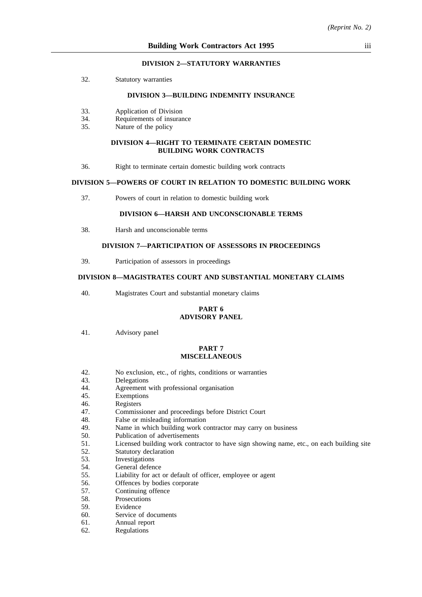#### **DIVISION 2—STATUTORY WARRANTIES**

32. Statutory warranties

#### **DIVISION 3—BUILDING INDEMNITY INSURANCE**

- 33. Application of Division
- 34. Requirements of insurance
- 35. Nature of the policy

#### **DIVISION 4—RIGHT TO TERMINATE CERTAIN DOMESTIC BUILDING WORK CONTRACTS**

36. Right to terminate certain domestic building work contracts

## **DIVISION 5—POWERS OF COURT IN RELATION TO DOMESTIC BUILDING WORK**

37. Powers of court in relation to domestic building work

## **DIVISION 6—HARSH AND UNCONSCIONABLE TERMS**

38. Harsh and unconscionable terms

## **DIVISION 7—PARTICIPATION OF ASSESSORS IN PROCEEDINGS**

39. Participation of assessors in proceedings

## **DIVISION 8—MAGISTRATES COURT AND SUBSTANTIAL MONETARY CLAIMS**

40. Magistrates Court and substantial monetary claims

#### **PART 6 ADVISORY PANEL**

41. Advisory panel

#### **PART 7 MISCELLANEOUS**

- 42. No exclusion, etc., of rights, conditions or warranties
- 43. Delegations
- 44. Agreement with professional organisation
- 45. Exemptions
- 46. Registers
- 47. Commissioner and proceedings before District Court
- 48. False or misleading information
- 49. Name in which building work contractor may carry on business
- 50. Publication of advertisements
- 51. Licensed building work contractor to have sign showing name, etc., on each building site
- 52. Statutory declaration
- 53. Investigations
- 54. General defence
- 55. Liability for act or default of officer, employee or agent
- 56. Offences by bodies corporate
- 57. Continuing offence
- 58. Prosecutions
- 59. Evidence
- 60. Service of documents
- 61. Annual report
- 62. Regulations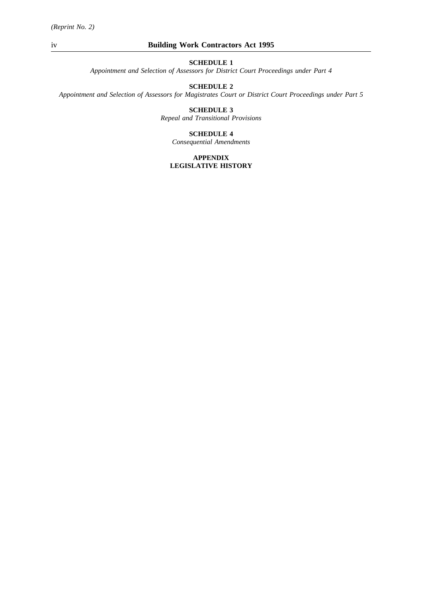*Appointment and Selection of Assessors for District Court Proceedings under Part 4*

# **SCHEDULE 2**

*Appointment and Selection of Assessors for Magistrates Court or District Court Proceedings under Part 5*

# **SCHEDULE 3**

*Repeal and Transitional Provisions*

#### **SCHEDULE 4**

*Consequential Amendments*

#### **APPENDIX LEGISLATIVE HISTORY**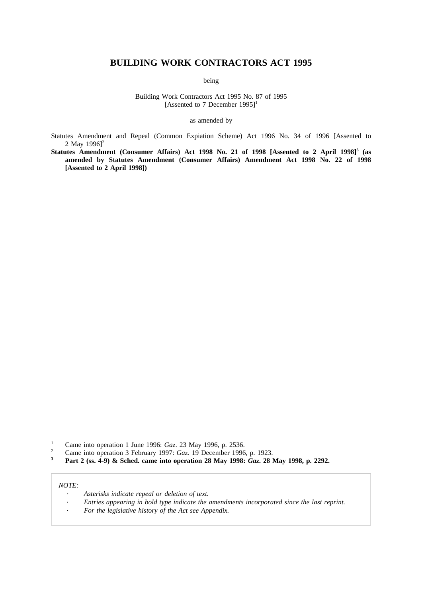# **BUILDING WORK CONTRACTORS ACT 1995**

being

Building Work Contractors Act 1995 No. 87 of 1995 [Assented to 7 December 1995]<sup>1</sup>

as amended by

Statutes Amendment and Repeal (Common Expiation Scheme) Act 1996 No. 34 of 1996 [Assented to 2 May  $1996$ <sup>2</sup>

**Statutes Amendment (Consumer Affairs) Act 1998 No. 21 of 1998 [Assented to 2 April 1998]3 (as amended by Statutes Amendment (Consumer Affairs) Amendment Act 1998 No. 22 of 1998 [Assented to 2 April 1998])**

- <sup>1</sup> Came into operation 1 June 1996: *Gaz.* 23 May 1996, p. 2536.
- <sup>2</sup> Came into operation 3 February 1997: *Gaz*. 19 December 1996, p. 1923.<br>**2 Don't** 2 (ga 4.0) **8:** Sebed, game into operation 28 May 1908: *Caz*. 28 N
- **<sup>3</sup> Part 2 (ss. 4-9) & Sched. came into operation 28 May 1998:** *Gaz***. 28 May 1998, p. 2292.**

#### *NOTE:*

- *Asterisks indicate repeal or deletion of text.*
- *Entries appearing in bold type indicate the amendments incorporated since the last reprint.*
- *For the legislative history of the Act see Appendix.*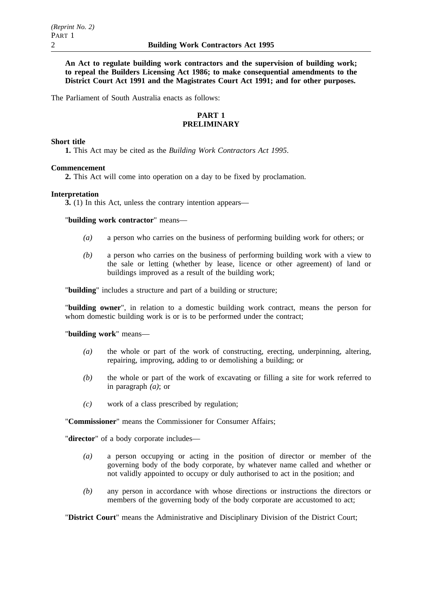**An Act to regulate building work contractors and the supervision of building work; to repeal the Builders Licensing Act 1986; to make consequential amendments to the District Court Act 1991 and the Magistrates Court Act 1991; and for other purposes.**

The Parliament of South Australia enacts as follows:

# **PART 1 PRELIMINARY**

#### **Short title**

**1.** This Act may be cited as the *Building Work Contractors Act 1995*.

# **Commencement**

**2.** This Act will come into operation on a day to be fixed by proclamation.

#### **Interpretation**

**3.** (1) In this Act, unless the contrary intention appears—

"**building work contractor**" means—

- *(a)* a person who carries on the business of performing building work for others; or
- *(b)* a person who carries on the business of performing building work with a view to the sale or letting (whether by lease, licence or other agreement) of land or buildings improved as a result of the building work;

"**building**" includes a structure and part of a building or structure;

"**building owner**", in relation to a domestic building work contract, means the person for whom domestic building work is or is to be performed under the contract;

#### "**building work**" means—

- *(a)* the whole or part of the work of constructing, erecting, underpinning, altering, repairing, improving, adding to or demolishing a building; or
- *(b)* the whole or part of the work of excavating or filling a site for work referred to in paragraph *(a)*; or
- *(c)* work of a class prescribed by regulation;

"**Commissioner**" means the Commissioner for Consumer Affairs;

"**director**" of a body corporate includes—

- *(a)* a person occupying or acting in the position of director or member of the governing body of the body corporate, by whatever name called and whether or not validly appointed to occupy or duly authorised to act in the position; and
- *(b)* any person in accordance with whose directions or instructions the directors or members of the governing body of the body corporate are accustomed to act;

"**District Court**" means the Administrative and Disciplinary Division of the District Court;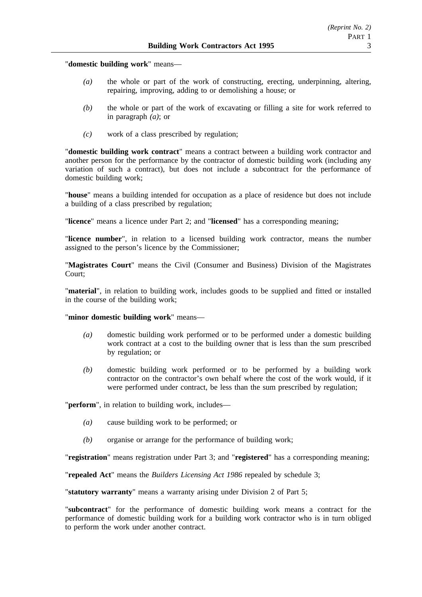"**domestic building work**" means—

- *(a)* the whole or part of the work of constructing, erecting, underpinning, altering, repairing, improving, adding to or demolishing a house; or
- *(b)* the whole or part of the work of excavating or filling a site for work referred to in paragraph *(a)*; or
- *(c)* work of a class prescribed by regulation;

"**domestic building work contract**" means a contract between a building work contractor and another person for the performance by the contractor of domestic building work (including any variation of such a contract), but does not include a subcontract for the performance of domestic building work;

"**house**" means a building intended for occupation as a place of residence but does not include a building of a class prescribed by regulation;

"**licence**" means a licence under Part 2; and "**licensed**" has a corresponding meaning;

"**licence number**", in relation to a licensed building work contractor, means the number assigned to the person's licence by the Commissioner;

"**Magistrates Court**" means the Civil (Consumer and Business) Division of the Magistrates Court;

"**material**", in relation to building work, includes goods to be supplied and fitted or installed in the course of the building work;

# "**minor domestic building work**" means—

- *(a)* domestic building work performed or to be performed under a domestic building work contract at a cost to the building owner that is less than the sum prescribed by regulation; or
- *(b)* domestic building work performed or to be performed by a building work contractor on the contractor's own behalf where the cost of the work would, if it were performed under contract, be less than the sum prescribed by regulation;

"**perform**", in relation to building work, includes—

- *(a)* cause building work to be performed; or
- *(b)* organise or arrange for the performance of building work;

"**registration**" means registration under Part 3; and "**registered**" has a corresponding meaning;

"**repealed Act**" means the *Builders Licensing Act 1986* repealed by schedule 3;

"**statutory warranty**" means a warranty arising under Division 2 of Part 5;

"**subcontract**" for the performance of domestic building work means a contract for the performance of domestic building work for a building work contractor who is in turn obliged to perform the work under another contract.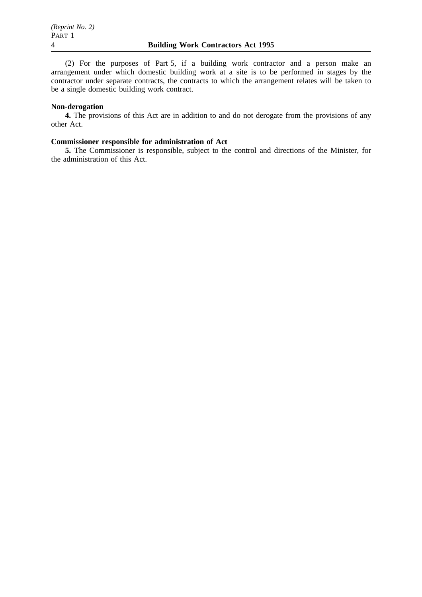(2) For the purposes of Part 5, if a building work contractor and a person make an arrangement under which domestic building work at a site is to be performed in stages by the contractor under separate contracts, the contracts to which the arrangement relates will be taken to be a single domestic building work contract.

# **Non-derogation**

**4.** The provisions of this Act are in addition to and do not derogate from the provisions of any other Act.

#### **Commissioner responsible for administration of Act**

**5.** The Commissioner is responsible, subject to the control and directions of the Minister, for the administration of this Act.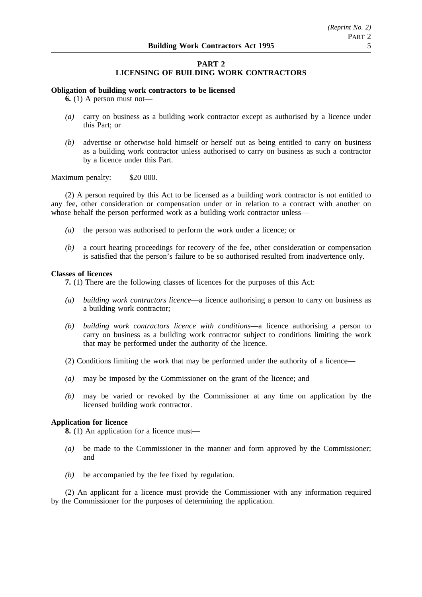# **PART 2 LICENSING OF BUILDING WORK CONTRACTORS**

#### **Obligation of building work contractors to be licensed**

**6.** (1) A person must not—

- *(a)* carry on business as a building work contractor except as authorised by a licence under this Part; or
- *(b)* advertise or otherwise hold himself or herself out as being entitled to carry on business as a building work contractor unless authorised to carry on business as such a contractor by a licence under this Part.

#### Maximum penalty: \$20 000.

(2) A person required by this Act to be licensed as a building work contractor is not entitled to any fee, other consideration or compensation under or in relation to a contract with another on whose behalf the person performed work as a building work contractor unless—

- *(a)* the person was authorised to perform the work under a licence; or
- *(b)* a court hearing proceedings for recovery of the fee, other consideration or compensation is satisfied that the person's failure to be so authorised resulted from inadvertence only.

#### **Classes of licences**

**7.** (1) There are the following classes of licences for the purposes of this Act:

- *(a) building work contractors licence*—a licence authorising a person to carry on business as a building work contractor;
- *(b) building work contractors licence with conditions*—a licence authorising a person to carry on business as a building work contractor subject to conditions limiting the work that may be performed under the authority of the licence.
- (2) Conditions limiting the work that may be performed under the authority of a licence—
- *(a)* may be imposed by the Commissioner on the grant of the licence; and
- *(b)* may be varied or revoked by the Commissioner at any time on application by the licensed building work contractor.

## **Application for licence**

**8.** (1) An application for a licence must—

- *(a)* be made to the Commissioner in the manner and form approved by the Commissioner; and
- *(b)* be accompanied by the fee fixed by regulation.

(2) An applicant for a licence must provide the Commissioner with any information required by the Commissioner for the purposes of determining the application.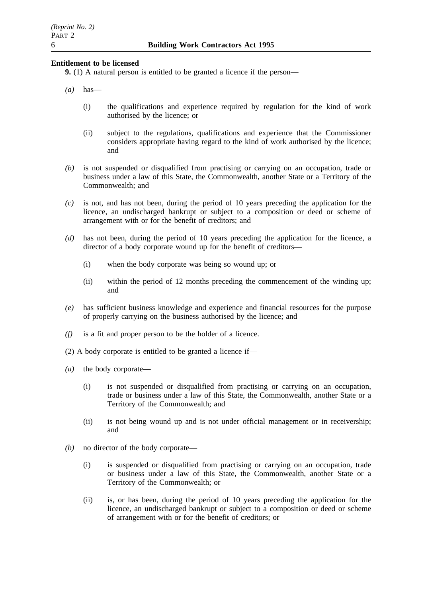## **Entitlement to be licensed**

**9.** (1) A natural person is entitled to be granted a licence if the person—

- *(a)* has—
	- (i) the qualifications and experience required by regulation for the kind of work authorised by the licence; or
	- (ii) subject to the regulations, qualifications and experience that the Commissioner considers appropriate having regard to the kind of work authorised by the licence; and
- *(b)* is not suspended or disqualified from practising or carrying on an occupation, trade or business under a law of this State, the Commonwealth, another State or a Territory of the Commonwealth; and
- *(c)* is not, and has not been, during the period of 10 years preceding the application for the licence, an undischarged bankrupt or subject to a composition or deed or scheme of arrangement with or for the benefit of creditors; and
- *(d)* has not been, during the period of 10 years preceding the application for the licence, a director of a body corporate wound up for the benefit of creditors—
	- (i) when the body corporate was being so wound up; or
	- (ii) within the period of 12 months preceding the commencement of the winding up; and
- *(e)* has sufficient business knowledge and experience and financial resources for the purpose of properly carrying on the business authorised by the licence; and
- *(f)* is a fit and proper person to be the holder of a licence.
- (2) A body corporate is entitled to be granted a licence if—
- *(a)* the body corporate—
	- (i) is not suspended or disqualified from practising or carrying on an occupation, trade or business under a law of this State, the Commonwealth, another State or a Territory of the Commonwealth; and
	- (ii) is not being wound up and is not under official management or in receivership; and
- *(b)* no director of the body corporate—
	- (i) is suspended or disqualified from practising or carrying on an occupation, trade or business under a law of this State, the Commonwealth, another State or a Territory of the Commonwealth; or
	- (ii) is, or has been, during the period of 10 years preceding the application for the licence, an undischarged bankrupt or subject to a composition or deed or scheme of arrangement with or for the benefit of creditors; or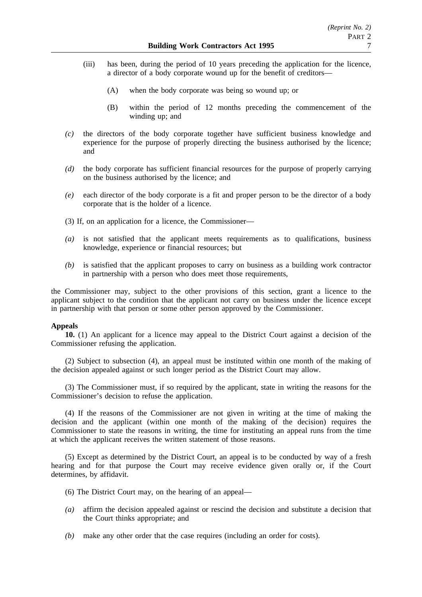- (iii) has been, during the period of 10 years preceding the application for the licence, a director of a body corporate wound up for the benefit of creditors—
	- (A) when the body corporate was being so wound up; or
	- (B) within the period of 12 months preceding the commencement of the winding up; and
- *(c)* the directors of the body corporate together have sufficient business knowledge and experience for the purpose of properly directing the business authorised by the licence; and
- *(d)* the body corporate has sufficient financial resources for the purpose of properly carrying on the business authorised by the licence; and
- *(e)* each director of the body corporate is a fit and proper person to be the director of a body corporate that is the holder of a licence.
- (3) If, on an application for a licence, the Commissioner—
- *(a)* is not satisfied that the applicant meets requirements as to qualifications, business knowledge, experience or financial resources; but
- *(b)* is satisfied that the applicant proposes to carry on business as a building work contractor in partnership with a person who does meet those requirements,

the Commissioner may, subject to the other provisions of this section, grant a licence to the applicant subject to the condition that the applicant not carry on business under the licence except in partnership with that person or some other person approved by the Commissioner.

## **Appeals**

**10.** (1) An applicant for a licence may appeal to the District Court against a decision of the Commissioner refusing the application.

(2) Subject to subsection (4), an appeal must be instituted within one month of the making of the decision appealed against or such longer period as the District Court may allow.

(3) The Commissioner must, if so required by the applicant, state in writing the reasons for the Commissioner's decision to refuse the application.

(4) If the reasons of the Commissioner are not given in writing at the time of making the decision and the applicant (within one month of the making of the decision) requires the Commissioner to state the reasons in writing, the time for instituting an appeal runs from the time at which the applicant receives the written statement of those reasons.

(5) Except as determined by the District Court, an appeal is to be conducted by way of a fresh hearing and for that purpose the Court may receive evidence given orally or, if the Court determines, by affidavit.

- (6) The District Court may, on the hearing of an appeal—
- *(a)* affirm the decision appealed against or rescind the decision and substitute a decision that the Court thinks appropriate; and
- *(b)* make any other order that the case requires (including an order for costs).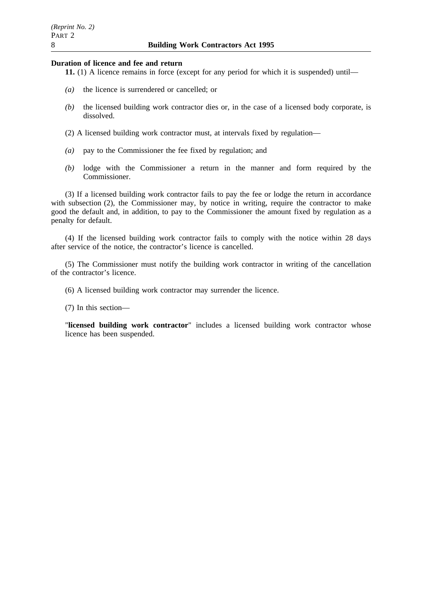#### **Duration of licence and fee and return**

- **11.** (1) A licence remains in force (except for any period for which it is suspended) until—
- *(a)* the licence is surrendered or cancelled; or
- *(b)* the licensed building work contractor dies or, in the case of a licensed body corporate, is dissolved.
- (2) A licensed building work contractor must, at intervals fixed by regulation—
- *(a)* pay to the Commissioner the fee fixed by regulation; and
- *(b)* lodge with the Commissioner a return in the manner and form required by the Commissioner.

(3) If a licensed building work contractor fails to pay the fee or lodge the return in accordance with subsection (2), the Commissioner may, by notice in writing, require the contractor to make good the default and, in addition, to pay to the Commissioner the amount fixed by regulation as a penalty for default.

(4) If the licensed building work contractor fails to comply with the notice within 28 days after service of the notice, the contractor's licence is cancelled.

(5) The Commissioner must notify the building work contractor in writing of the cancellation of the contractor's licence.

(6) A licensed building work contractor may surrender the licence.

(7) In this section—

"**licensed building work contractor**" includes a licensed building work contractor whose licence has been suspended.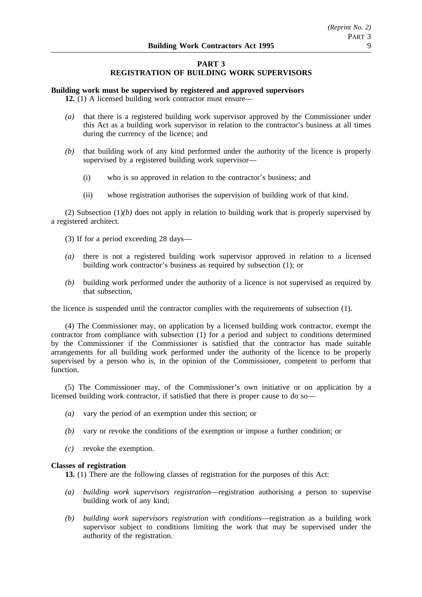# **PART 3 REGISTRATION OF BUILDING WORK SUPERVISORS**

## **Building work must be supervised by registered and approved supervisors**

**12.** (1) A licensed building work contractor must ensure—

- *(a)* that there is a registered building work supervisor approved by the Commissioner under this Act as a building work supervisor in relation to the contractor's business at all times during the currency of the licence; and
- *(b)* that building work of any kind performed under the authority of the licence is properly supervised by a registered building work supervisor—
	- (i) who is so approved in relation to the contractor's business; and
	- (ii) whose registration authorises the supervision of building work of that kind.

(2) Subsection  $(1)(b)$  does not apply in relation to building work that is properly supervised by a registered architect.

- (3) If for a period exceeding 28 days—
- *(a)* there is not a registered building work supervisor approved in relation to a licensed building work contractor's business as required by subsection (1); or
- *(b)* building work performed under the authority of a licence is not supervised as required by that subsection,

the licence is suspended until the contractor complies with the requirements of subsection (1).

(4) The Commissioner may, on application by a licensed building work contractor, exempt the contractor from compliance with subsection (1) for a period and subject to conditions determined by the Commissioner if the Commissioner is satisfied that the contractor has made suitable arrangements for all building work performed under the authority of the licence to be properly supervised by a person who is, in the opinion of the Commissioner, competent to perform that function.

(5) The Commissioner may, of the Commissioner's own initiative or on application by a licensed building work contractor, if satisfied that there is proper cause to do so—

- *(a)* vary the period of an exemption under this section; or
- *(b)* vary or revoke the conditions of the exemption or impose a further condition; or
- *(c)* revoke the exemption.

## **Classes of registration**

**13.** (1) There are the following classes of registration for the purposes of this Act:

- *(a) building work supervisors registration*—registration authorising a person to supervise building work of any kind;
- *(b) building work supervisors registration with conditions*—registration as a building work supervisor subject to conditions limiting the work that may be supervised under the authority of the registration.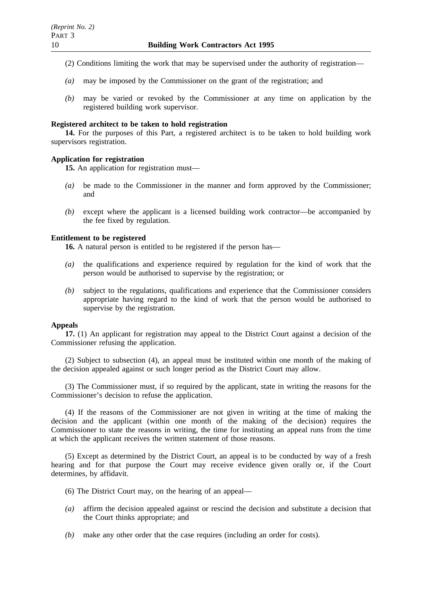- (2) Conditions limiting the work that may be supervised under the authority of registration—
- *(a)* may be imposed by the Commissioner on the grant of the registration; and
- *(b)* may be varied or revoked by the Commissioner at any time on application by the registered building work supervisor.

## **Registered architect to be taken to hold registration**

**14.** For the purposes of this Part, a registered architect is to be taken to hold building work supervisors registration.

## **Application for registration**

**15.** An application for registration must—

- *(a)* be made to the Commissioner in the manner and form approved by the Commissioner; and
- *(b)* except where the applicant is a licensed building work contractor—be accompanied by the fee fixed by regulation.

# **Entitlement to be registered**

**16.** A natural person is entitled to be registered if the person has—

- *(a)* the qualifications and experience required by regulation for the kind of work that the person would be authorised to supervise by the registration; or
- *(b)* subject to the regulations, qualifications and experience that the Commissioner considers appropriate having regard to the kind of work that the person would be authorised to supervise by the registration.

## **Appeals**

**17.** (1) An applicant for registration may appeal to the District Court against a decision of the Commissioner refusing the application.

(2) Subject to subsection (4), an appeal must be instituted within one month of the making of the decision appealed against or such longer period as the District Court may allow.

(3) The Commissioner must, if so required by the applicant, state in writing the reasons for the Commissioner's decision to refuse the application.

(4) If the reasons of the Commissioner are not given in writing at the time of making the decision and the applicant (within one month of the making of the decision) requires the Commissioner to state the reasons in writing, the time for instituting an appeal runs from the time at which the applicant receives the written statement of those reasons.

(5) Except as determined by the District Court, an appeal is to be conducted by way of a fresh hearing and for that purpose the Court may receive evidence given orally or, if the Court determines, by affidavit.

- (6) The District Court may, on the hearing of an appeal—
- *(a)* affirm the decision appealed against or rescind the decision and substitute a decision that the Court thinks appropriate; and
- *(b)* make any other order that the case requires (including an order for costs).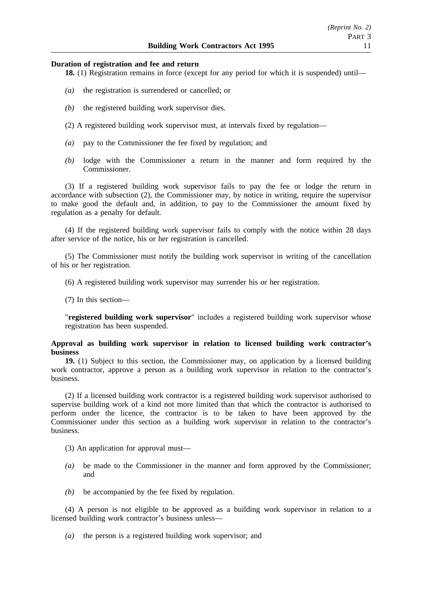#### **Duration of registration and fee and return**

**18.** (1) Registration remains in force (except for any period for which it is suspended) until—

- *(a)* the registration is surrendered or cancelled; or
- *(b)* the registered building work supervisor dies.
- (2) A registered building work supervisor must, at intervals fixed by regulation—
- *(a)* pay to the Commissioner the fee fixed by regulation; and
- *(b)* lodge with the Commissioner a return in the manner and form required by the Commissioner.

(3) If a registered building work supervisor fails to pay the fee or lodge the return in accordance with subsection (2), the Commissioner may, by notice in writing, require the supervisor to make good the default and, in addition, to pay to the Commissioner the amount fixed by regulation as a penalty for default.

(4) If the registered building work supervisor fails to comply with the notice within 28 days after service of the notice, his or her registration is cancelled.

(5) The Commissioner must notify the building work supervisor in writing of the cancellation of his or her registration.

(6) A registered building work supervisor may surrender his or her registration.

(7) In this section—

"**registered building work supervisor**" includes a registered building work supervisor whose registration has been suspended.

## **Approval as building work supervisor in relation to licensed building work contractor's business**

**19.** (1) Subject to this section, the Commissioner may, on application by a licensed building work contractor, approve a person as a building work supervisor in relation to the contractor's business.

(2) If a licensed building work contractor is a registered building work supervisor authorised to supervise building work of a kind not more limited than that which the contractor is authorised to perform under the licence, the contractor is to be taken to have been approved by the Commissioner under this section as a building work supervisor in relation to the contractor's business.

(3) An application for approval must—

- *(a)* be made to the Commissioner in the manner and form approved by the Commissioner; and
- *(b)* be accompanied by the fee fixed by regulation.

(4) A person is not eligible to be approved as a building work supervisor in relation to a licensed building work contractor's business unless—

*(a)* the person is a registered building work supervisor; and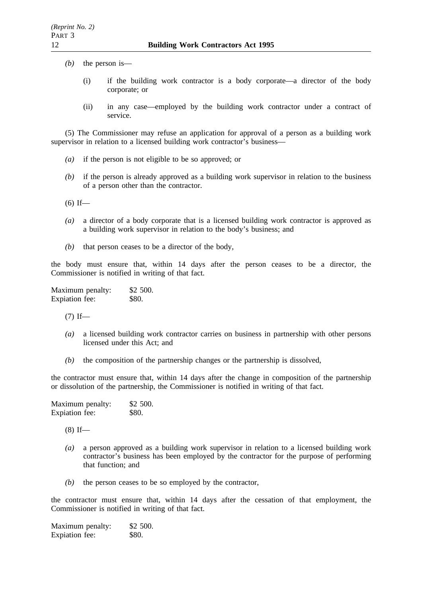- *(b)* the person is—
	- (i) if the building work contractor is a body corporate—a director of the body corporate; or
	- (ii) in any case—employed by the building work contractor under a contract of service.

(5) The Commissioner may refuse an application for approval of a person as a building work supervisor in relation to a licensed building work contractor's business—

- *(a)* if the person is not eligible to be so approved; or
- *(b)* if the person is already approved as a building work supervisor in relation to the business of a person other than the contractor.
- $(6)$  If—
- *(a)* a director of a body corporate that is a licensed building work contractor is approved as a building work supervisor in relation to the body's business; and
- *(b)* that person ceases to be a director of the body,

the body must ensure that, within 14 days after the person ceases to be a director, the Commissioner is notified in writing of that fact.

Maximum penalty: \$2 500. Expiation fee: \$80.

 $(7)$  If—

- *(a)* a licensed building work contractor carries on business in partnership with other persons licensed under this Act; and
- *(b)* the composition of the partnership changes or the partnership is dissolved,

the contractor must ensure that, within 14 days after the change in composition of the partnership or dissolution of the partnership, the Commissioner is notified in writing of that fact.

| Maximum penalty: | \$2 500. |
|------------------|----------|
| Expiation fee:   | \$80.    |

 $(8)$  If—

- *(a)* a person approved as a building work supervisor in relation to a licensed building work contractor's business has been employed by the contractor for the purpose of performing that function; and
- *(b)* the person ceases to be so employed by the contractor,

the contractor must ensure that, within 14 days after the cessation of that employment, the Commissioner is notified in writing of that fact.

Maximum penalty: \$2 500. Expiation fee: \$80.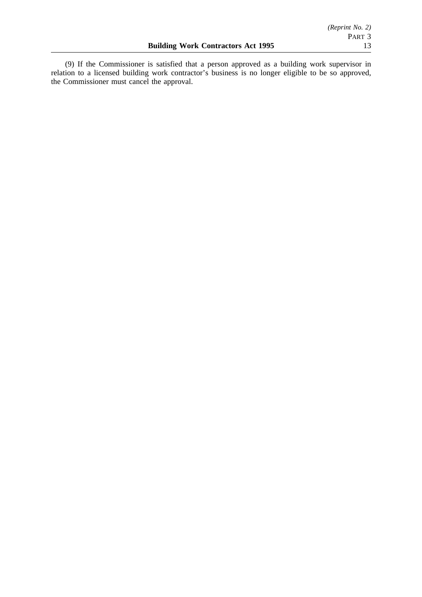(9) If the Commissioner is satisfied that a person approved as a building work supervisor in relation to a licensed building work contractor's business is no longer eligible to be so approved, the Commissioner must cancel the approval.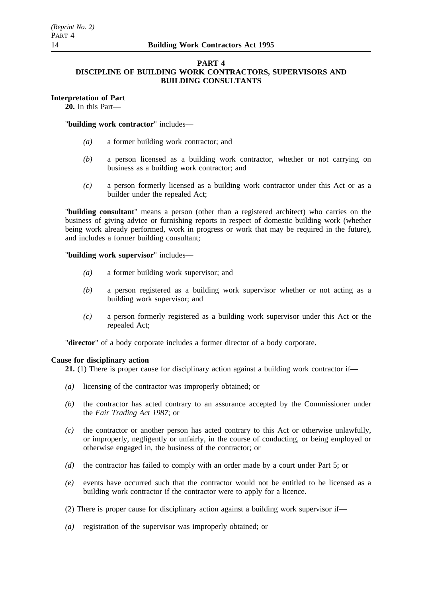# **PART 4**

# **DISCIPLINE OF BUILDING WORK CONTRACTORS, SUPERVISORS AND BUILDING CONSULTANTS**

# **Interpretation of Part**

**20.** In this Part—

# "**building work contractor**" includes—

- *(a)* a former building work contractor; and
- *(b)* a person licensed as a building work contractor, whether or not carrying on business as a building work contractor; and
- *(c)* a person formerly licensed as a building work contractor under this Act or as a builder under the repealed Act;

"**building consultant**" means a person (other than a registered architect) who carries on the business of giving advice or furnishing reports in respect of domestic building work (whether being work already performed, work in progress or work that may be required in the future), and includes a former building consultant;

"**building work supervisor**" includes—

- *(a)* a former building work supervisor; and
- *(b)* a person registered as a building work supervisor whether or not acting as a building work supervisor; and
- *(c)* a person formerly registered as a building work supervisor under this Act or the repealed Act;

"**director**" of a body corporate includes a former director of a body corporate.

## **Cause for disciplinary action**

**21.** (1) There is proper cause for disciplinary action against a building work contractor if—

- *(a)* licensing of the contractor was improperly obtained; or
- *(b)* the contractor has acted contrary to an assurance accepted by the Commissioner under the *Fair Trading Act 1987*; or
- *(c)* the contractor or another person has acted contrary to this Act or otherwise unlawfully, or improperly, negligently or unfairly, in the course of conducting, or being employed or otherwise engaged in, the business of the contractor; or
- *(d)* the contractor has failed to comply with an order made by a court under Part 5; or
- *(e)* events have occurred such that the contractor would not be entitled to be licensed as a building work contractor if the contractor were to apply for a licence.
- (2) There is proper cause for disciplinary action against a building work supervisor if—
- *(a)* registration of the supervisor was improperly obtained; or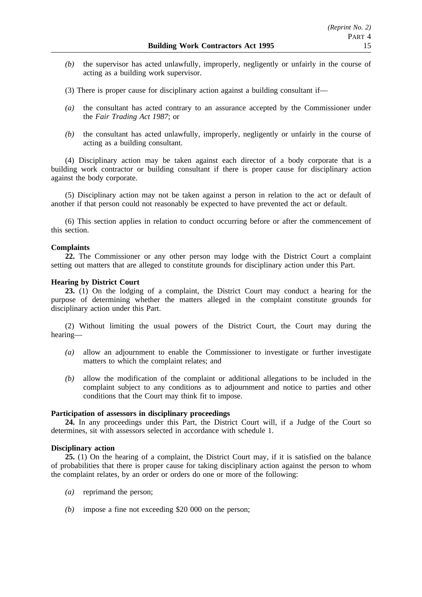- *(b)* the supervisor has acted unlawfully, improperly, negligently or unfairly in the course of acting as a building work supervisor.
- (3) There is proper cause for disciplinary action against a building consultant if—
- *(a)* the consultant has acted contrary to an assurance accepted by the Commissioner under the *Fair Trading Act 1987*; or
- *(b)* the consultant has acted unlawfully, improperly, negligently or unfairly in the course of acting as a building consultant.

(4) Disciplinary action may be taken against each director of a body corporate that is a building work contractor or building consultant if there is proper cause for disciplinary action against the body corporate.

(5) Disciplinary action may not be taken against a person in relation to the act or default of another if that person could not reasonably be expected to have prevented the act or default.

(6) This section applies in relation to conduct occurring before or after the commencement of this section.

## **Complaints**

**22.** The Commissioner or any other person may lodge with the District Court a complaint setting out matters that are alleged to constitute grounds for disciplinary action under this Part.

## **Hearing by District Court**

**23.** (1) On the lodging of a complaint, the District Court may conduct a hearing for the purpose of determining whether the matters alleged in the complaint constitute grounds for disciplinary action under this Part.

(2) Without limiting the usual powers of the District Court, the Court may during the hearing—

- *(a)* allow an adjournment to enable the Commissioner to investigate or further investigate matters to which the complaint relates; and
- *(b)* allow the modification of the complaint or additional allegations to be included in the complaint subject to any conditions as to adjournment and notice to parties and other conditions that the Court may think fit to impose.

## **Participation of assessors in disciplinary proceedings**

24. In any proceedings under this Part, the District Court will, if a Judge of the Court so determines, sit with assessors selected in accordance with schedule 1.

## **Disciplinary action**

**25.** (1) On the hearing of a complaint, the District Court may, if it is satisfied on the balance of probabilities that there is proper cause for taking disciplinary action against the person to whom the complaint relates, by an order or orders do one or more of the following:

- *(a)* reprimand the person;
- *(b)* impose a fine not exceeding \$20 000 on the person;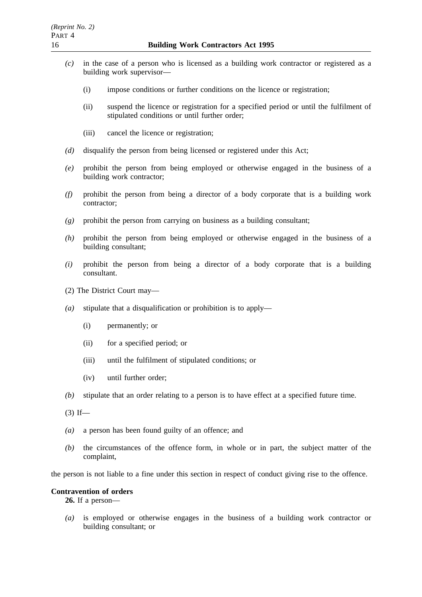- *(c)* in the case of a person who is licensed as a building work contractor or registered as a building work supervisor—
	- (i) impose conditions or further conditions on the licence or registration;
	- (ii) suspend the licence or registration for a specified period or until the fulfilment of stipulated conditions or until further order;
	- (iii) cancel the licence or registration;
- *(d)* disqualify the person from being licensed or registered under this Act;
- *(e)* prohibit the person from being employed or otherwise engaged in the business of a building work contractor;
- *(f)* prohibit the person from being a director of a body corporate that is a building work contractor;
- *(g)* prohibit the person from carrying on business as a building consultant;
- *(h)* prohibit the person from being employed or otherwise engaged in the business of a building consultant;
- *(i)* prohibit the person from being a director of a body corporate that is a building consultant.
- (2) The District Court may—
- *(a)* stipulate that a disqualification or prohibition is to apply—
	- (i) permanently; or
	- (ii) for a specified period; or
	- (iii) until the fulfilment of stipulated conditions; or
	- (iv) until further order;
- *(b)* stipulate that an order relating to a person is to have effect at a specified future time.
- $(3)$  If—
- *(a)* a person has been found guilty of an offence; and
- *(b)* the circumstances of the offence form, in whole or in part, the subject matter of the complaint,

the person is not liable to a fine under this section in respect of conduct giving rise to the offence.

#### **Contravention of orders**

**26.** If a person—

*(a)* is employed or otherwise engages in the business of a building work contractor or building consultant; or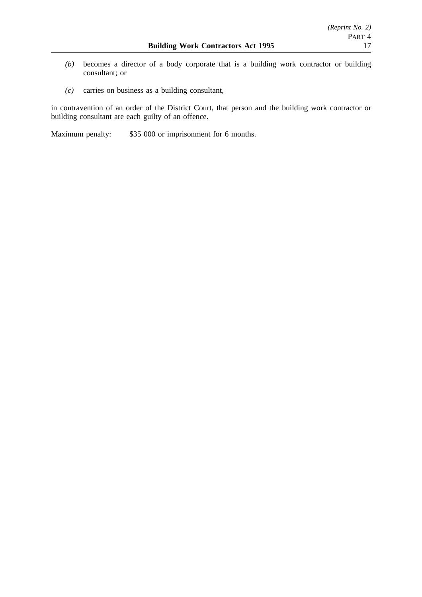- *(b)* becomes a director of a body corporate that is a building work contractor or building consultant; or
- *(c)* carries on business as a building consultant,

in contravention of an order of the District Court, that person and the building work contractor or building consultant are each guilty of an offence.

Maximum penalty: \$35 000 or imprisonment for 6 months.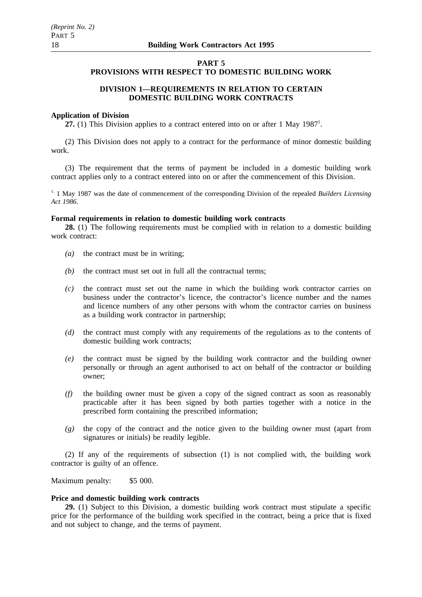# **PART 5**

# **PROVISIONS WITH RESPECT TO DOMESTIC BUILDING WORK**

# **DIVISION 1—REQUIREMENTS IN RELATION TO CERTAIN DOMESTIC BUILDING WORK CONTRACTS**

## **Application of Division**

27. (1) This Division applies to a contract entered into on or after 1 May 1987<sup>1</sup>.

(2) This Division does not apply to a contract for the performance of minor domestic building work.

(3) The requirement that the terms of payment be included in a domestic building work contract applies only to a contract entered into on or after the commencement of this Division.

<sup>1.</sup> 1 May 1987 was the date of commencement of the corresponding Division of the repealed *Builders Licensing Act 1986*.

## **Formal requirements in relation to domestic building work contracts**

**28.** (1) The following requirements must be complied with in relation to a domestic building work contract:

- *(a)* the contract must be in writing;
- *(b)* the contract must set out in full all the contractual terms;
- *(c)* the contract must set out the name in which the building work contractor carries on business under the contractor's licence, the contractor's licence number and the names and licence numbers of any other persons with whom the contractor carries on business as a building work contractor in partnership;
- *(d)* the contract must comply with any requirements of the regulations as to the contents of domestic building work contracts;
- *(e)* the contract must be signed by the building work contractor and the building owner personally or through an agent authorised to act on behalf of the contractor or building owner;
- *(f)* the building owner must be given a copy of the signed contract as soon as reasonably practicable after it has been signed by both parties together with a notice in the prescribed form containing the prescribed information;
- *(g)* the copy of the contract and the notice given to the building owner must (apart from signatures or initials) be readily legible.

(2) If any of the requirements of subsection (1) is not complied with, the building work contractor is guilty of an offence.

Maximum penalty: \$5 000.

## **Price and domestic building work contracts**

**29.** (1) Subject to this Division, a domestic building work contract must stipulate a specific price for the performance of the building work specified in the contract, being a price that is fixed and not subject to change, and the terms of payment.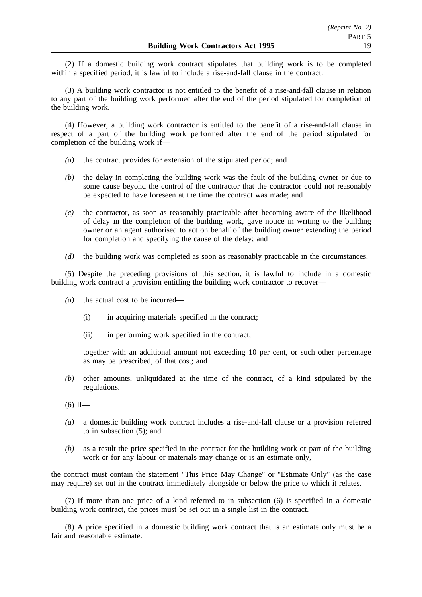(2) If a domestic building work contract stipulates that building work is to be completed within a specified period, it is lawful to include a rise-and-fall clause in the contract.

(3) A building work contractor is not entitled to the benefit of a rise-and-fall clause in relation to any part of the building work performed after the end of the period stipulated for completion of the building work.

(4) However, a building work contractor is entitled to the benefit of a rise-and-fall clause in respect of a part of the building work performed after the end of the period stipulated for completion of the building work if—

- *(a)* the contract provides for extension of the stipulated period; and
- *(b)* the delay in completing the building work was the fault of the building owner or due to some cause beyond the control of the contractor that the contractor could not reasonably be expected to have foreseen at the time the contract was made; and
- *(c)* the contractor, as soon as reasonably practicable after becoming aware of the likelihood of delay in the completion of the building work, gave notice in writing to the building owner or an agent authorised to act on behalf of the building owner extending the period for completion and specifying the cause of the delay; and
- *(d)* the building work was completed as soon as reasonably practicable in the circumstances.

(5) Despite the preceding provisions of this section, it is lawful to include in a domestic building work contract a provision entitling the building work contractor to recover—

- *(a)* the actual cost to be incurred—
	- (i) in acquiring materials specified in the contract;
	- (ii) in performing work specified in the contract,

together with an additional amount not exceeding 10 per cent, or such other percentage as may be prescribed, of that cost; and

*(b)* other amounts, unliquidated at the time of the contract, of a kind stipulated by the regulations.

- *(a)* a domestic building work contract includes a rise-and-fall clause or a provision referred to in subsection (5); and
- *(b)* as a result the price specified in the contract for the building work or part of the building work or for any labour or materials may change or is an estimate only,

the contract must contain the statement "This Price May Change" or "Estimate Only" (as the case may require) set out in the contract immediately alongside or below the price to which it relates.

(7) If more than one price of a kind referred to in subsection (6) is specified in a domestic building work contract, the prices must be set out in a single list in the contract.

(8) A price specified in a domestic building work contract that is an estimate only must be a fair and reasonable estimate.

 $(6)$  If—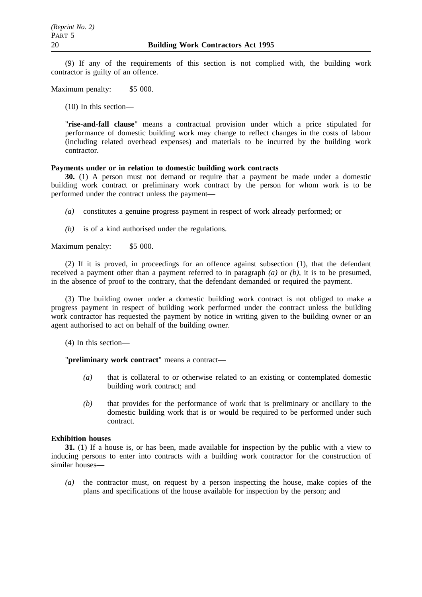(9) If any of the requirements of this section is not complied with, the building work contractor is guilty of an offence.

Maximum penalty: \$5 000.

(10) In this section—

"**rise-and-fall clause**" means a contractual provision under which a price stipulated for performance of domestic building work may change to reflect changes in the costs of labour (including related overhead expenses) and materials to be incurred by the building work contractor.

# **Payments under or in relation to domestic building work contracts**

**30.** (1) A person must not demand or require that a payment be made under a domestic building work contract or preliminary work contract by the person for whom work is to be performed under the contract unless the payment—

- *(a)* constitutes a genuine progress payment in respect of work already performed; or
- *(b)* is of a kind authorised under the regulations.

Maximum penalty: \$5 000.

(2) If it is proved, in proceedings for an offence against subsection (1), that the defendant received a payment other than a payment referred to in paragraph *(a)* or *(b)*, it is to be presumed, in the absence of proof to the contrary, that the defendant demanded or required the payment.

(3) The building owner under a domestic building work contract is not obliged to make a progress payment in respect of building work performed under the contract unless the building work contractor has requested the payment by notice in writing given to the building owner or an agent authorised to act on behalf of the building owner.

(4) In this section—

"**preliminary work contract**" means a contract—

- *(a)* that is collateral to or otherwise related to an existing or contemplated domestic building work contract; and
- *(b)* that provides for the performance of work that is preliminary or ancillary to the domestic building work that is or would be required to be performed under such contract.

# **Exhibition houses**

**31.** (1) If a house is, or has been, made available for inspection by the public with a view to inducing persons to enter into contracts with a building work contractor for the construction of similar houses—

*(a)* the contractor must, on request by a person inspecting the house, make copies of the plans and specifications of the house available for inspection by the person; and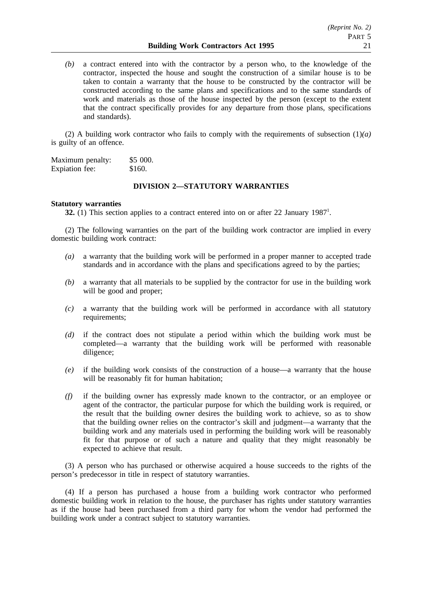*(b)* a contract entered into with the contractor by a person who, to the knowledge of the contractor, inspected the house and sought the construction of a similar house is to be taken to contain a warranty that the house to be constructed by the contractor will be constructed according to the same plans and specifications and to the same standards of work and materials as those of the house inspected by the person (except to the extent that the contract specifically provides for any departure from those plans, specifications and standards).

(2) A building work contractor who fails to comply with the requirements of subsection (1)*(a)* is guilty of an offence.

Maximum penalty: \$5 000. Expiation fee: \$160.

## **DIVISION 2—STATUTORY WARRANTIES**

#### **Statutory warranties**

**32.** (1) This section applies to a contract entered into on or after 22 January 1987<sup>1</sup>.

(2) The following warranties on the part of the building work contractor are implied in every domestic building work contract:

- *(a)* a warranty that the building work will be performed in a proper manner to accepted trade standards and in accordance with the plans and specifications agreed to by the parties;
- *(b)* a warranty that all materials to be supplied by the contractor for use in the building work will be good and proper;
- *(c)* a warranty that the building work will be performed in accordance with all statutory requirements;
- *(d)* if the contract does not stipulate a period within which the building work must be completed—a warranty that the building work will be performed with reasonable diligence;
- *(e)* if the building work consists of the construction of a house—a warranty that the house will be reasonably fit for human habitation;
- *(f)* if the building owner has expressly made known to the contractor, or an employee or agent of the contractor, the particular purpose for which the building work is required, or the result that the building owner desires the building work to achieve, so as to show that the building owner relies on the contractor's skill and judgment—a warranty that the building work and any materials used in performing the building work will be reasonably fit for that purpose or of such a nature and quality that they might reasonably be expected to achieve that result.

(3) A person who has purchased or otherwise acquired a house succeeds to the rights of the person's predecessor in title in respect of statutory warranties.

(4) If a person has purchased a house from a building work contractor who performed domestic building work in relation to the house, the purchaser has rights under statutory warranties as if the house had been purchased from a third party for whom the vendor had performed the building work under a contract subject to statutory warranties.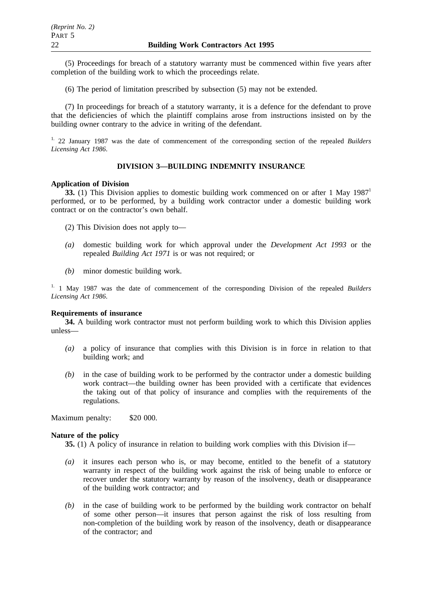(5) Proceedings for breach of a statutory warranty must be commenced within five years after completion of the building work to which the proceedings relate.

(6) The period of limitation prescribed by subsection (5) may not be extended.

(7) In proceedings for breach of a statutory warranty, it is a defence for the defendant to prove that the deficiencies of which the plaintiff complains arose from instructions insisted on by the building owner contrary to the advice in writing of the defendant.

1. 22 January 1987 was the date of commencement of the corresponding section of the repealed *Builders Licensing Act 1986*.

# **DIVISION 3—BUILDING INDEMNITY INSURANCE**

## **Application of Division**

**33.** (1) This Division applies to domestic building work commenced on or after 1 May 1987<sup>1</sup> performed, or to be performed, by a building work contractor under a domestic building work contract or on the contractor's own behalf.

(2) This Division does not apply to—

- *(a)* domestic building work for which approval under the *Development Act 1993* or the repealed *Building Act 1971* is or was not required; or
- *(b)* minor domestic building work.

1. 1 May 1987 was the date of commencement of the corresponding Division of the repealed *Builders Licensing Act 1986*.

#### **Requirements of insurance**

**34.** A building work contractor must not perform building work to which this Division applies unless—

- *(a)* a policy of insurance that complies with this Division is in force in relation to that building work; and
- *(b)* in the case of building work to be performed by the contractor under a domestic building work contract—the building owner has been provided with a certificate that evidences the taking out of that policy of insurance and complies with the requirements of the regulations.

Maximum penalty: \$20 000.

#### **Nature of the policy**

**35.** (1) A policy of insurance in relation to building work complies with this Division if—

- *(a)* it insures each person who is, or may become, entitled to the benefit of a statutory warranty in respect of the building work against the risk of being unable to enforce or recover under the statutory warranty by reason of the insolvency, death or disappearance of the building work contractor; and
- *(b)* in the case of building work to be performed by the building work contractor on behalf of some other person—it insures that person against the risk of loss resulting from non-completion of the building work by reason of the insolvency, death or disappearance of the contractor; and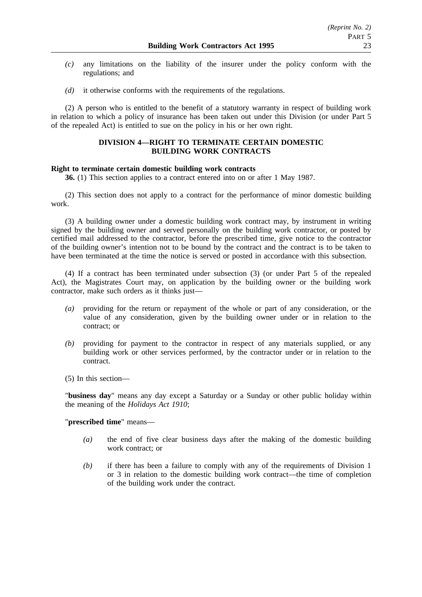- *(c)* any limitations on the liability of the insurer under the policy conform with the regulations; and
- *(d)* it otherwise conforms with the requirements of the regulations.

(2) A person who is entitled to the benefit of a statutory warranty in respect of building work in relation to which a policy of insurance has been taken out under this Division (or under Part 5 of the repealed Act) is entitled to sue on the policy in his or her own right.

## **DIVISION 4—RIGHT TO TERMINATE CERTAIN DOMESTIC BUILDING WORK CONTRACTS**

## **Right to terminate certain domestic building work contracts**

**36.** (1) This section applies to a contract entered into on or after 1 May 1987.

(2) This section does not apply to a contract for the performance of minor domestic building work.

(3) A building owner under a domestic building work contract may, by instrument in writing signed by the building owner and served personally on the building work contractor, or posted by certified mail addressed to the contractor, before the prescribed time, give notice to the contractor of the building owner's intention not to be bound by the contract and the contract is to be taken to have been terminated at the time the notice is served or posted in accordance with this subsection.

(4) If a contract has been terminated under subsection (3) (or under Part 5 of the repealed Act), the Magistrates Court may, on application by the building owner or the building work contractor, make such orders as it thinks just—

- *(a)* providing for the return or repayment of the whole or part of any consideration, or the value of any consideration, given by the building owner under or in relation to the contract; or
- *(b)* providing for payment to the contractor in respect of any materials supplied, or any building work or other services performed, by the contractor under or in relation to the contract.
- (5) In this section—

"**business day**" means any day except a Saturday or a Sunday or other public holiday within the meaning of the *Holidays Act 1910*;

# "**prescribed time**" means—

- *(a)* the end of five clear business days after the making of the domestic building work contract; or
- *(b)* if there has been a failure to comply with any of the requirements of Division 1 or 3 in relation to the domestic building work contract—the time of completion of the building work under the contract.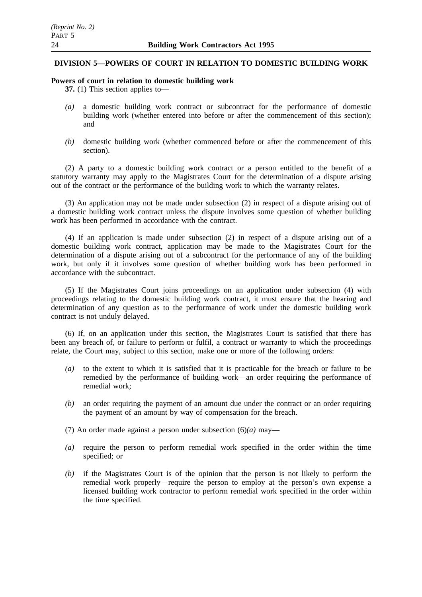## **DIVISION 5—POWERS OF COURT IN RELATION TO DOMESTIC BUILDING WORK**

#### **Powers of court in relation to domestic building work**

**37.** (1) This section applies to—

- *(a)* a domestic building work contract or subcontract for the performance of domestic building work (whether entered into before or after the commencement of this section); and
- *(b)* domestic building work (whether commenced before or after the commencement of this section).

(2) A party to a domestic building work contract or a person entitled to the benefit of a statutory warranty may apply to the Magistrates Court for the determination of a dispute arising out of the contract or the performance of the building work to which the warranty relates.

(3) An application may not be made under subsection (2) in respect of a dispute arising out of a domestic building work contract unless the dispute involves some question of whether building work has been performed in accordance with the contract.

(4) If an application is made under subsection (2) in respect of a dispute arising out of a domestic building work contract, application may be made to the Magistrates Court for the determination of a dispute arising out of a subcontract for the performance of any of the building work, but only if it involves some question of whether building work has been performed in accordance with the subcontract.

(5) If the Magistrates Court joins proceedings on an application under subsection (4) with proceedings relating to the domestic building work contract, it must ensure that the hearing and determination of any question as to the performance of work under the domestic building work contract is not unduly delayed.

(6) If, on an application under this section, the Magistrates Court is satisfied that there has been any breach of, or failure to perform or fulfil, a contract or warranty to which the proceedings relate, the Court may, subject to this section, make one or more of the following orders:

- *(a)* to the extent to which it is satisfied that it is practicable for the breach or failure to be remedied by the performance of building work—an order requiring the performance of remedial work;
- *(b)* an order requiring the payment of an amount due under the contract or an order requiring the payment of an amount by way of compensation for the breach.
- (7) An order made against a person under subsection (6)*(a)* may—
- *(a)* require the person to perform remedial work specified in the order within the time specified; or
- *(b)* if the Magistrates Court is of the opinion that the person is not likely to perform the remedial work properly—require the person to employ at the person's own expense a licensed building work contractor to perform remedial work specified in the order within the time specified.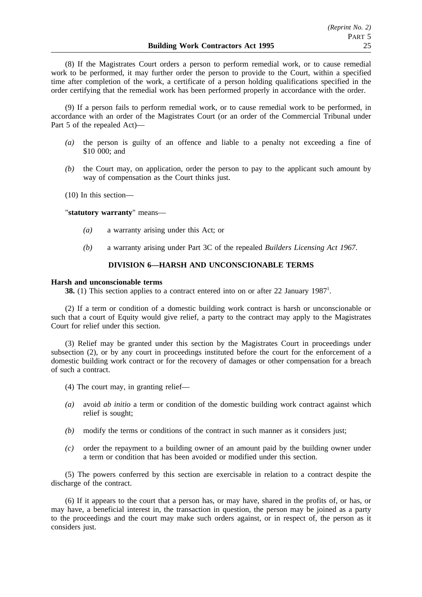(8) If the Magistrates Court orders a person to perform remedial work, or to cause remedial work to be performed, it may further order the person to provide to the Court, within a specified time after completion of the work, a certificate of a person holding qualifications specified in the order certifying that the remedial work has been performed properly in accordance with the order.

(9) If a person fails to perform remedial work, or to cause remedial work to be performed, in accordance with an order of the Magistrates Court (or an order of the Commercial Tribunal under Part 5 of the repealed Act)—

- *(a)* the person is guilty of an offence and liable to a penalty not exceeding a fine of \$10 000; and
- *(b)* the Court may, on application, order the person to pay to the applicant such amount by way of compensation as the Court thinks just.
- (10) In this section—

"**statutory warranty**" means—

- *(a)* a warranty arising under this Act; or
- *(b)* a warranty arising under Part 3C of the repealed *Builders Licensing Act 1967*.

## **DIVISION 6—HARSH AND UNCONSCIONABLE TERMS**

#### **Harsh and unconscionable terms**

**38.** (1) This section applies to a contract entered into on or after 22 January 1987<sup>1</sup>.

(2) If a term or condition of a domestic building work contract is harsh or unconscionable or such that a court of Equity would give relief, a party to the contract may apply to the Magistrates Court for relief under this section.

(3) Relief may be granted under this section by the Magistrates Court in proceedings under subsection (2), or by any court in proceedings instituted before the court for the enforcement of a domestic building work contract or for the recovery of damages or other compensation for a breach of such a contract.

- (4) The court may, in granting relief—
- *(a)* avoid *ab initio* a term or condition of the domestic building work contract against which relief is sought;
- *(b)* modify the terms or conditions of the contract in such manner as it considers just;
- *(c)* order the repayment to a building owner of an amount paid by the building owner under a term or condition that has been avoided or modified under this section.

(5) The powers conferred by this section are exercisable in relation to a contract despite the discharge of the contract.

(6) If it appears to the court that a person has, or may have, shared in the profits of, or has, or may have, a beneficial interest in, the transaction in question, the person may be joined as a party to the proceedings and the court may make such orders against, or in respect of, the person as it considers just.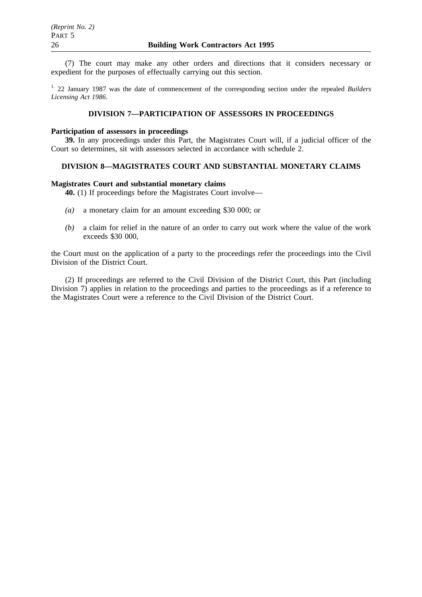(7) The court may make any other orders and directions that it considers necessary or expedient for the purposes of effectually carrying out this section.

1. 22 January 1987 was the date of commencement of the corresponding section under the repealed *Builders Licensing Act 1986*.

# **DIVISION 7—PARTICIPATION OF ASSESSORS IN PROCEEDINGS**

#### **Participation of assessors in proceedings**

**39.** In any proceedings under this Part, the Magistrates Court will, if a judicial officer of the Court so determines, sit with assessors selected in accordance with schedule 2.

## **DIVISION 8—MAGISTRATES COURT AND SUBSTANTIAL MONETARY CLAIMS**

## **Magistrates Court and substantial monetary claims**

**40.** (1) If proceedings before the Magistrates Court involve—

- *(a)* a monetary claim for an amount exceeding \$30 000; or
- *(b)* a claim for relief in the nature of an order to carry out work where the value of the work exceeds \$30 000,

the Court must on the application of a party to the proceedings refer the proceedings into the Civil Division of the District Court.

(2) If proceedings are referred to the Civil Division of the District Court, this Part (including Division 7) applies in relation to the proceedings and parties to the proceedings as if a reference to the Magistrates Court were a reference to the Civil Division of the District Court.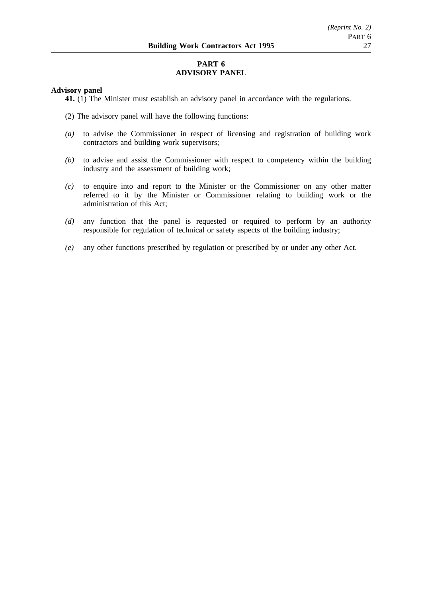# **PART 6 ADVISORY PANEL**

## **Advisory panel**

**41.** (1) The Minister must establish an advisory panel in accordance with the regulations.

- (2) The advisory panel will have the following functions:
- *(a)* to advise the Commissioner in respect of licensing and registration of building work contractors and building work supervisors;
- *(b)* to advise and assist the Commissioner with respect to competency within the building industry and the assessment of building work;
- *(c)* to enquire into and report to the Minister or the Commissioner on any other matter referred to it by the Minister or Commissioner relating to building work or the administration of this Act;
- *(d)* any function that the panel is requested or required to perform by an authority responsible for regulation of technical or safety aspects of the building industry;
- *(e)* any other functions prescribed by regulation or prescribed by or under any other Act.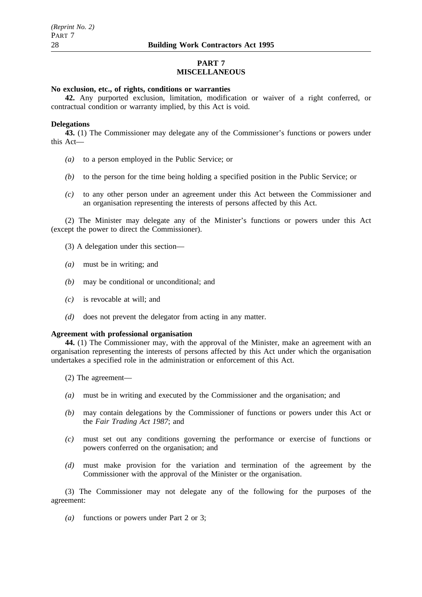# **PART 7 MISCELLANEOUS**

## **No exclusion, etc., of rights, conditions or warranties**

**42.** Any purported exclusion, limitation, modification or waiver of a right conferred, or contractual condition or warranty implied, by this Act is void.

#### **Delegations**

**43.** (1) The Commissioner may delegate any of the Commissioner's functions or powers under this Act—

- *(a)* to a person employed in the Public Service; or
- *(b)* to the person for the time being holding a specified position in the Public Service; or
- *(c)* to any other person under an agreement under this Act between the Commissioner and an organisation representing the interests of persons affected by this Act.

(2) The Minister may delegate any of the Minister's functions or powers under this Act (except the power to direct the Commissioner).

- (3) A delegation under this section—
- *(a)* must be in writing; and
- *(b)* may be conditional or unconditional; and
- *(c)* is revocable at will; and
- *(d)* does not prevent the delegator from acting in any matter.

#### **Agreement with professional organisation**

**44.** (1) The Commissioner may, with the approval of the Minister, make an agreement with an organisation representing the interests of persons affected by this Act under which the organisation undertakes a specified role in the administration or enforcement of this Act.

- (2) The agreement—
- *(a)* must be in writing and executed by the Commissioner and the organisation; and
- *(b)* may contain delegations by the Commissioner of functions or powers under this Act or the *Fair Trading Act 1987*; and
- *(c)* must set out any conditions governing the performance or exercise of functions or powers conferred on the organisation; and
- *(d)* must make provision for the variation and termination of the agreement by the Commissioner with the approval of the Minister or the organisation.

(3) The Commissioner may not delegate any of the following for the purposes of the agreement:

*(a)* functions or powers under Part 2 or 3;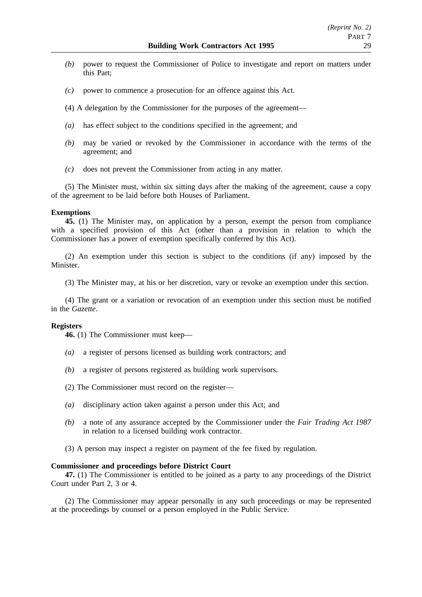- *(b)* power to request the Commissioner of Police to investigate and report on matters under this Part;
- *(c)* power to commence a prosecution for an offence against this Act.
- (4) A delegation by the Commissioner for the purposes of the agreement—
- *(a)* has effect subject to the conditions specified in the agreement; and
- *(b)* may be varied or revoked by the Commissioner in accordance with the terms of the agreement; and
- *(c)* does not prevent the Commissioner from acting in any matter.

(5) The Minister must, within six sitting days after the making of the agreement, cause a copy of the agreement to be laid before both Houses of Parliament.

#### **Exemptions**

**45.** (1) The Minister may, on application by a person, exempt the person from compliance with a specified provision of this Act (other than a provision in relation to which the Commissioner has a power of exemption specifically conferred by this Act).

(2) An exemption under this section is subject to the conditions (if any) imposed by the Minister.

(3) The Minister may, at his or her discretion, vary or revoke an exemption under this section.

(4) The grant or a variation or revocation of an exemption under this section must be notified in the *Gazette*.

#### **Registers**

**46.** (1) The Commissioner must keep—

- *(a)* a register of persons licensed as building work contractors; and
- *(b)* a register of persons registered as building work supervisors.
- (2) The Commissioner must record on the register—
- *(a)* disciplinary action taken against a person under this Act; and
- *(b)* a note of any assurance accepted by the Commissioner under the *Fair Trading Act 1987* in relation to a licensed building work contractor.
- (3) A person may inspect a register on payment of the fee fixed by regulation.

#### **Commissioner and proceedings before District Court**

**47.** (1) The Commissioner is entitled to be joined as a party to any proceedings of the District Court under Part 2, 3 or 4.

(2) The Commissioner may appear personally in any such proceedings or may be represented at the proceedings by counsel or a person employed in the Public Service.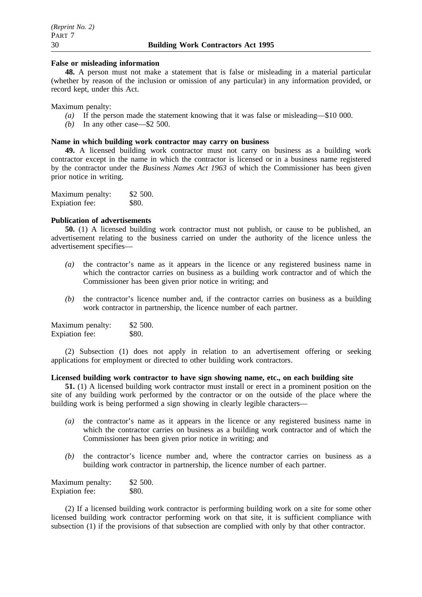#### **False or misleading information**

**48.** A person must not make a statement that is false or misleading in a material particular (whether by reason of the inclusion or omission of any particular) in any information provided, or record kept, under this Act.

Maximum penalty:

- *(a)* If the person made the statement knowing that it was false or misleading—\$10 000.
- *(b)* In any other case—\$2 500.

#### **Name in which building work contractor may carry on business**

**49.** A licensed building work contractor must not carry on business as a building work contractor except in the name in which the contractor is licensed or in a business name registered by the contractor under the *Business Names Act 1963* of which the Commissioner has been given prior notice in writing.

| Maximum penalty: | \$2 500. |
|------------------|----------|
| Expiation fee:   | \$80.    |

## **Publication of advertisements**

**50.** (1) A licensed building work contractor must not publish, or cause to be published, an advertisement relating to the business carried on under the authority of the licence unless the advertisement specifies—

- *(a)* the contractor's name as it appears in the licence or any registered business name in which the contractor carries on business as a building work contractor and of which the Commissioner has been given prior notice in writing; and
- *(b)* the contractor's licence number and, if the contractor carries on business as a building work contractor in partnership, the licence number of each partner.

| Maximum penalty: | \$2 500. |
|------------------|----------|
| Expiation fee:   | \$80.    |

(2) Subsection (1) does not apply in relation to an advertisement offering or seeking applications for employment or directed to other building work contractors.

## **Licensed building work contractor to have sign showing name, etc., on each building site**

**51.** (1) A licensed building work contractor must install or erect in a prominent position on the site of any building work performed by the contractor or on the outside of the place where the building work is being performed a sign showing in clearly legible characters—

- *(a)* the contractor's name as it appears in the licence or any registered business name in which the contractor carries on business as a building work contractor and of which the Commissioner has been given prior notice in writing; and
- *(b)* the contractor's licence number and, where the contractor carries on business as a building work contractor in partnership, the licence number of each partner.

| Maximum penalty: | \$2,500.     |
|------------------|--------------|
| Expiation fee:   | <b>\$80.</b> |

(2) If a licensed building work contractor is performing building work on a site for some other licensed building work contractor performing work on that site, it is sufficient compliance with subsection (1) if the provisions of that subsection are complied with only by that other contractor.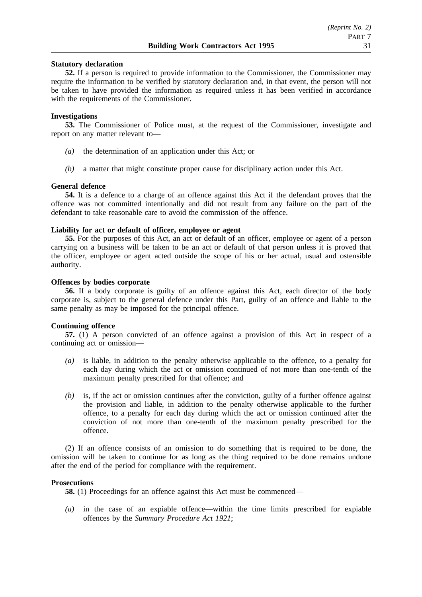## **Statutory declaration**

**52.** If a person is required to provide information to the Commissioner, the Commissioner may require the information to be verified by statutory declaration and, in that event, the person will not be taken to have provided the information as required unless it has been verified in accordance with the requirements of the Commissioner.

#### **Investigations**

**53.** The Commissioner of Police must, at the request of the Commissioner, investigate and report on any matter relevant to—

- *(a)* the determination of an application under this Act; or
- *(b)* a matter that might constitute proper cause for disciplinary action under this Act.

#### **General defence**

**54.** It is a defence to a charge of an offence against this Act if the defendant proves that the offence was not committed intentionally and did not result from any failure on the part of the defendant to take reasonable care to avoid the commission of the offence.

# **Liability for act or default of officer, employee or agent**

**55.** For the purposes of this Act, an act or default of an officer, employee or agent of a person carrying on a business will be taken to be an act or default of that person unless it is proved that the officer, employee or agent acted outside the scope of his or her actual, usual and ostensible authority.

#### **Offences by bodies corporate**

**56.** If a body corporate is guilty of an offence against this Act, each director of the body corporate is, subject to the general defence under this Part, guilty of an offence and liable to the same penalty as may be imposed for the principal offence.

#### **Continuing offence**

**57.** (1) A person convicted of an offence against a provision of this Act in respect of a continuing act or omission—

- *(a)* is liable, in addition to the penalty otherwise applicable to the offence, to a penalty for each day during which the act or omission continued of not more than one-tenth of the maximum penalty prescribed for that offence; and
- *(b)* is, if the act or omission continues after the conviction, guilty of a further offence against the provision and liable, in addition to the penalty otherwise applicable to the further offence, to a penalty for each day during which the act or omission continued after the conviction of not more than one-tenth of the maximum penalty prescribed for the offence.

(2) If an offence consists of an omission to do something that is required to be done, the omission will be taken to continue for as long as the thing required to be done remains undone after the end of the period for compliance with the requirement.

#### **Prosecutions**

**58.** (1) Proceedings for an offence against this Act must be commenced—

*(a)* in the case of an expiable offence—within the time limits prescribed for expiable offences by the *Summary Procedure Act 1921*;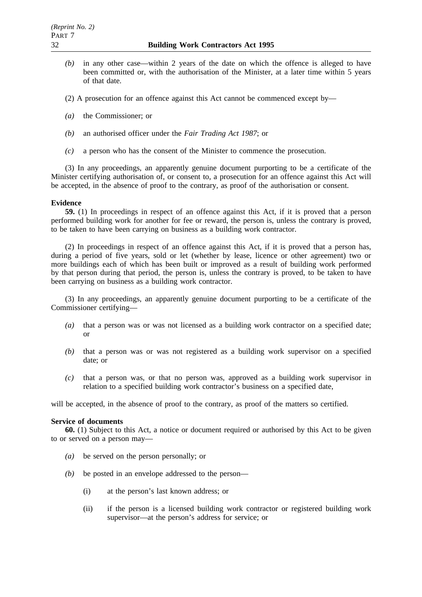- *(b)* in any other case—within 2 years of the date on which the offence is alleged to have been committed or, with the authorisation of the Minister, at a later time within 5 years of that date.
- (2) A prosecution for an offence against this Act cannot be commenced except by—
- *(a)* the Commissioner; or
- *(b)* an authorised officer under the *Fair Trading Act 1987*; or
- *(c)* a person who has the consent of the Minister to commence the prosecution.

(3) In any proceedings, an apparently genuine document purporting to be a certificate of the Minister certifying authorisation of, or consent to, a prosecution for an offence against this Act will be accepted, in the absence of proof to the contrary, as proof of the authorisation or consent.

## **Evidence**

**59.** (1) In proceedings in respect of an offence against this Act, if it is proved that a person performed building work for another for fee or reward, the person is, unless the contrary is proved, to be taken to have been carrying on business as a building work contractor.

(2) In proceedings in respect of an offence against this Act, if it is proved that a person has, during a period of five years, sold or let (whether by lease, licence or other agreement) two or more buildings each of which has been built or improved as a result of building work performed by that person during that period, the person is, unless the contrary is proved, to be taken to have been carrying on business as a building work contractor.

(3) In any proceedings, an apparently genuine document purporting to be a certificate of the Commissioner certifying—

- *(a)* that a person was or was not licensed as a building work contractor on a specified date; or
- *(b)* that a person was or was not registered as a building work supervisor on a specified date; or
- *(c)* that a person was, or that no person was, approved as a building work supervisor in relation to a specified building work contractor's business on a specified date,

will be accepted, in the absence of proof to the contrary, as proof of the matters so certified.

## **Service of documents**

**60.** (1) Subject to this Act, a notice or document required or authorised by this Act to be given to or served on a person may—

- *(a)* be served on the person personally; or
- *(b)* be posted in an envelope addressed to the person—
	- (i) at the person's last known address; or
	- (ii) if the person is a licensed building work contractor or registered building work supervisor—at the person's address for service; or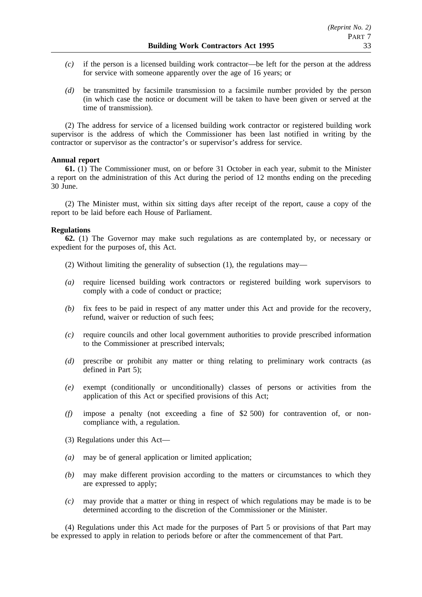- *(c)* if the person is a licensed building work contractor—be left for the person at the address for service with someone apparently over the age of 16 years; or
- *(d)* be transmitted by facsimile transmission to a facsimile number provided by the person (in which case the notice or document will be taken to have been given or served at the time of transmission).

(2) The address for service of a licensed building work contractor or registered building work supervisor is the address of which the Commissioner has been last notified in writing by the contractor or supervisor as the contractor's or supervisor's address for service.

## **Annual report**

**61.** (1) The Commissioner must, on or before 31 October in each year, submit to the Minister a report on the administration of this Act during the period of 12 months ending on the preceding 30 June.

(2) The Minister must, within six sitting days after receipt of the report, cause a copy of the report to be laid before each House of Parliament.

## **Regulations**

**62.** (1) The Governor may make such regulations as are contemplated by, or necessary or expedient for the purposes of, this Act.

- (2) Without limiting the generality of subsection (1), the regulations may—
- *(a)* require licensed building work contractors or registered building work supervisors to comply with a code of conduct or practice;
- *(b)* fix fees to be paid in respect of any matter under this Act and provide for the recovery, refund, waiver or reduction of such fees;
- *(c)* require councils and other local government authorities to provide prescribed information to the Commissioner at prescribed intervals;
- *(d)* prescribe or prohibit any matter or thing relating to preliminary work contracts (as defined in Part 5);
- *(e)* exempt (conditionally or unconditionally) classes of persons or activities from the application of this Act or specified provisions of this Act;
- *(f)* impose a penalty (not exceeding a fine of \$2 500) for contravention of, or noncompliance with, a regulation.
- (3) Regulations under this Act—
- *(a)* may be of general application or limited application;
- *(b)* may make different provision according to the matters or circumstances to which they are expressed to apply;
- *(c)* may provide that a matter or thing in respect of which regulations may be made is to be determined according to the discretion of the Commissioner or the Minister.

(4) Regulations under this Act made for the purposes of Part 5 or provisions of that Part may be expressed to apply in relation to periods before or after the commencement of that Part.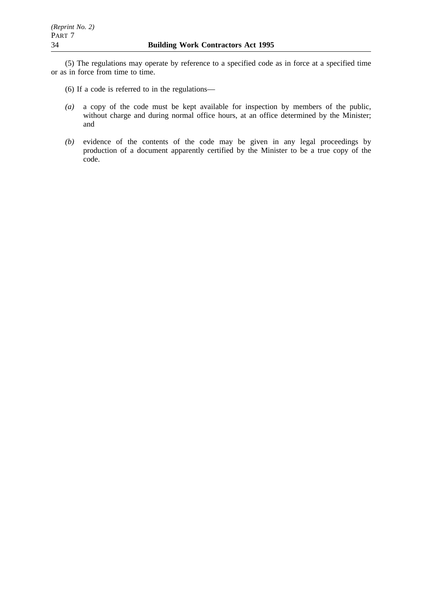(5) The regulations may operate by reference to a specified code as in force at a specified time or as in force from time to time.

- (6) If a code is referred to in the regulations—
- *(a)* a copy of the code must be kept available for inspection by members of the public, without charge and during normal office hours, at an office determined by the Minister; and
- *(b)* evidence of the contents of the code may be given in any legal proceedings by production of a document apparently certified by the Minister to be a true copy of the code.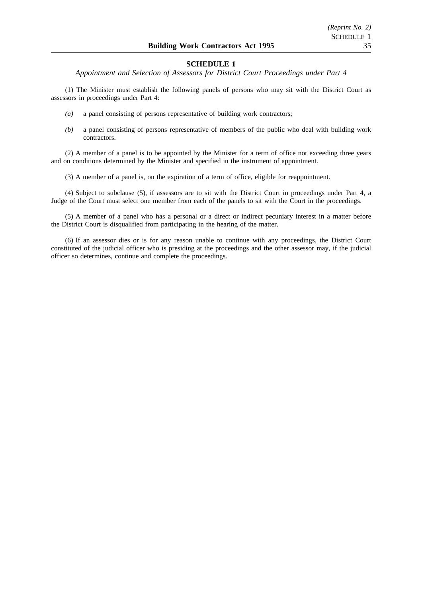*Appointment and Selection of Assessors for District Court Proceedings under Part 4*

(1) The Minister must establish the following panels of persons who may sit with the District Court as assessors in proceedings under Part 4:

- *(a)* a panel consisting of persons representative of building work contractors;
- *(b)* a panel consisting of persons representative of members of the public who deal with building work contractors.

(2) A member of a panel is to be appointed by the Minister for a term of office not exceeding three years and on conditions determined by the Minister and specified in the instrument of appointment.

(3) A member of a panel is, on the expiration of a term of office, eligible for reappointment.

(4) Subject to subclause (5), if assessors are to sit with the District Court in proceedings under Part 4, a Judge of the Court must select one member from each of the panels to sit with the Court in the proceedings.

(5) A member of a panel who has a personal or a direct or indirect pecuniary interest in a matter before the District Court is disqualified from participating in the hearing of the matter.

(6) If an assessor dies or is for any reason unable to continue with any proceedings, the District Court constituted of the judicial officer who is presiding at the proceedings and the other assessor may, if the judicial officer so determines, continue and complete the proceedings.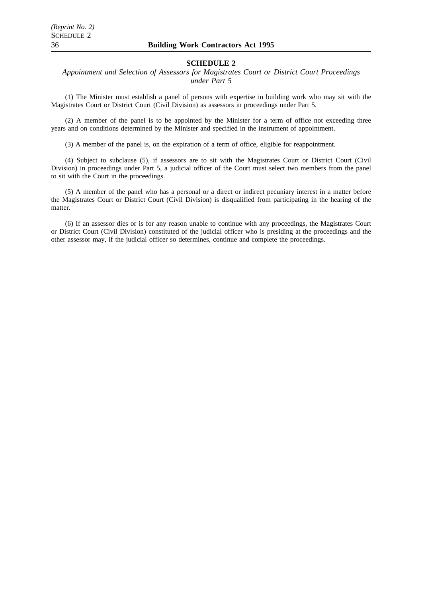*Appointment and Selection of Assessors for Magistrates Court or District Court Proceedings under Part 5*

(1) The Minister must establish a panel of persons with expertise in building work who may sit with the Magistrates Court or District Court (Civil Division) as assessors in proceedings under Part 5.

(2) A member of the panel is to be appointed by the Minister for a term of office not exceeding three years and on conditions determined by the Minister and specified in the instrument of appointment.

(3) A member of the panel is, on the expiration of a term of office, eligible for reappointment.

(4) Subject to subclause (5), if assessors are to sit with the Magistrates Court or District Court (Civil Division) in proceedings under Part 5, a judicial officer of the Court must select two members from the panel to sit with the Court in the proceedings.

(5) A member of the panel who has a personal or a direct or indirect pecuniary interest in a matter before the Magistrates Court or District Court (Civil Division) is disqualified from participating in the hearing of the matter.

(6) If an assessor dies or is for any reason unable to continue with any proceedings, the Magistrates Court or District Court (Civil Division) constituted of the judicial officer who is presiding at the proceedings and the other assessor may, if the judicial officer so determines, continue and complete the proceedings.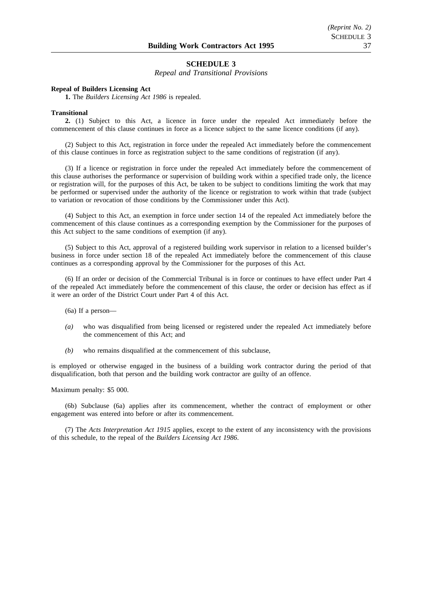*Repeal and Transitional Provisions*

#### **Repeal of Builders Licensing Act**

**1.** The *Builders Licensing Act 1986* is repealed.

#### **Transitional**

**2.** (1) Subject to this Act, a licence in force under the repealed Act immediately before the commencement of this clause continues in force as a licence subject to the same licence conditions (if any).

(2) Subject to this Act, registration in force under the repealed Act immediately before the commencement of this clause continues in force as registration subject to the same conditions of registration (if any).

(3) If a licence or registration in force under the repealed Act immediately before the commencement of this clause authorises the performance or supervision of building work within a specified trade only, the licence or registration will, for the purposes of this Act, be taken to be subject to conditions limiting the work that may be performed or supervised under the authority of the licence or registration to work within that trade (subject to variation or revocation of those conditions by the Commissioner under this Act).

(4) Subject to this Act, an exemption in force under section 14 of the repealed Act immediately before the commencement of this clause continues as a corresponding exemption by the Commissioner for the purposes of this Act subject to the same conditions of exemption (if any).

(5) Subject to this Act, approval of a registered building work supervisor in relation to a licensed builder's business in force under section 18 of the repealed Act immediately before the commencement of this clause continues as a corresponding approval by the Commissioner for the purposes of this Act.

(6) If an order or decision of the Commercial Tribunal is in force or continues to have effect under Part 4 of the repealed Act immediately before the commencement of this clause, the order or decision has effect as if it were an order of the District Court under Part 4 of this Act.

(6a) If a person—

- *(a)* who was disqualified from being licensed or registered under the repealed Act immediately before the commencement of this Act; and
- *(b)* who remains disqualified at the commencement of this subclause,

is employed or otherwise engaged in the business of a building work contractor during the period of that disqualification, both that person and the building work contractor are guilty of an offence.

Maximum penalty: \$5 000.

(6b) Subclause (6a) applies after its commencement, whether the contract of employment or other engagement was entered into before or after its commencement.

(7) The *Acts Interpretation Act 1915* applies, except to the extent of any inconsistency with the provisions of this schedule, to the repeal of the *Builders Licensing Act 1986*.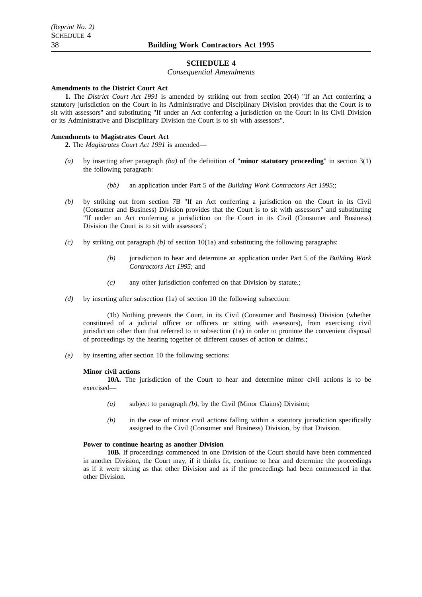*Consequential Amendments*

#### **Amendments to the District Court Act**

**1.** The *District Court Act 1991* is amended by striking out from section 20(4) "If an Act conferring a statutory jurisdiction on the Court in its Administrative and Disciplinary Division provides that the Court is to sit with assessors" and substituting "If under an Act conferring a jurisdiction on the Court in its Civil Division or its Administrative and Disciplinary Division the Court is to sit with assessors".

#### **Amendments to Magistrates Court Act**

**2.** The *Magistrates Court Act 1991* is amended—

- *(a)* by inserting after paragraph *(ba)* of the definition of "**minor statutory proceeding**" in section 3(1) the following paragraph:
	- *(bb)* an application under Part 5 of the *Building Work Contractors Act 1995*;;
- *(b)* by striking out from section 7B "If an Act conferring a jurisdiction on the Court in its Civil (Consumer and Business) Division provides that the Court is to sit with assessors" and substituting "If under an Act conferring a jurisdiction on the Court in its Civil (Consumer and Business) Division the Court is to sit with assessors";
- *(c)* by striking out paragraph *(b)* of section 10(1a) and substituting the following paragraphs:
	- *(b)* jurisdiction to hear and determine an application under Part 5 of the *Building Work Contractors Act 1995*; and
	- *(c)* any other jurisdiction conferred on that Division by statute.;
- *(d)* by inserting after subsection (1a) of section 10 the following subsection:

(1b) Nothing prevents the Court, in its Civil (Consumer and Business) Division (whether constituted of a judicial officer or officers or sitting with assessors), from exercising civil jurisdiction other than that referred to in subsection (1a) in order to promote the convenient disposal of proceedings by the hearing together of different causes of action or claims.;

*(e)* by inserting after section 10 the following sections:

#### **Minor civil actions**

**10A.** The jurisdiction of the Court to hear and determine minor civil actions is to be exercised—

- *(a)* subject to paragraph *(b)*, by the Civil (Minor Claims) Division;
- *(b)* in the case of minor civil actions falling within a statutory jurisdiction specifically assigned to the Civil (Consumer and Business) Division, by that Division.

#### **Power to continue hearing as another Division**

**10B.** If proceedings commenced in one Division of the Court should have been commenced in another Division, the Court may, if it thinks fit, continue to hear and determine the proceedings as if it were sitting as that other Division and as if the proceedings had been commenced in that other Division.